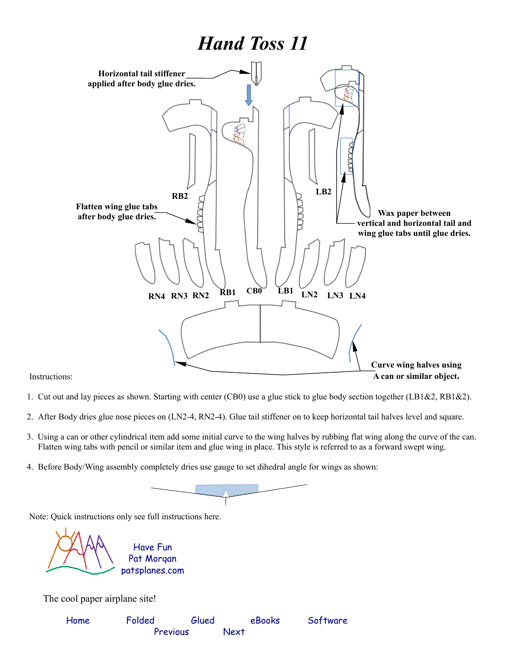## *Hand Toss 11*



Instructions:

- 1. Cut out and lay pieces as shown. Starting with center (CB0) use a glue stick to glue body section together (LB1&2, RB1&2).
- 2. After Body dries glue nose pieces on (LN2-4, RN2-4). Glue tail stiffener on to keep horizontal tail halves level and square.
- 3. Using a can or other cylindrical item add some initial curve to the wing halves by rubbing flat wing along the curve of the can. Flatten wing tabs with pencil or similar item and glue wing in place. This style is referred to as a forward swept wing.
- 4. Before Body/Wing assembly completely dries use gauge to set dihedral angle for wings as shown:



Note: Quick instructions only see full instructions here.

[patsplanes.com](http://patsplanes.com/index.html) Pat Morgan Have Fun

The cool paper airplane site!

| Home | Folded   | Glued | eBooks | Software |
|------|----------|-------|--------|----------|
|      | Previous |       | Next   |          |